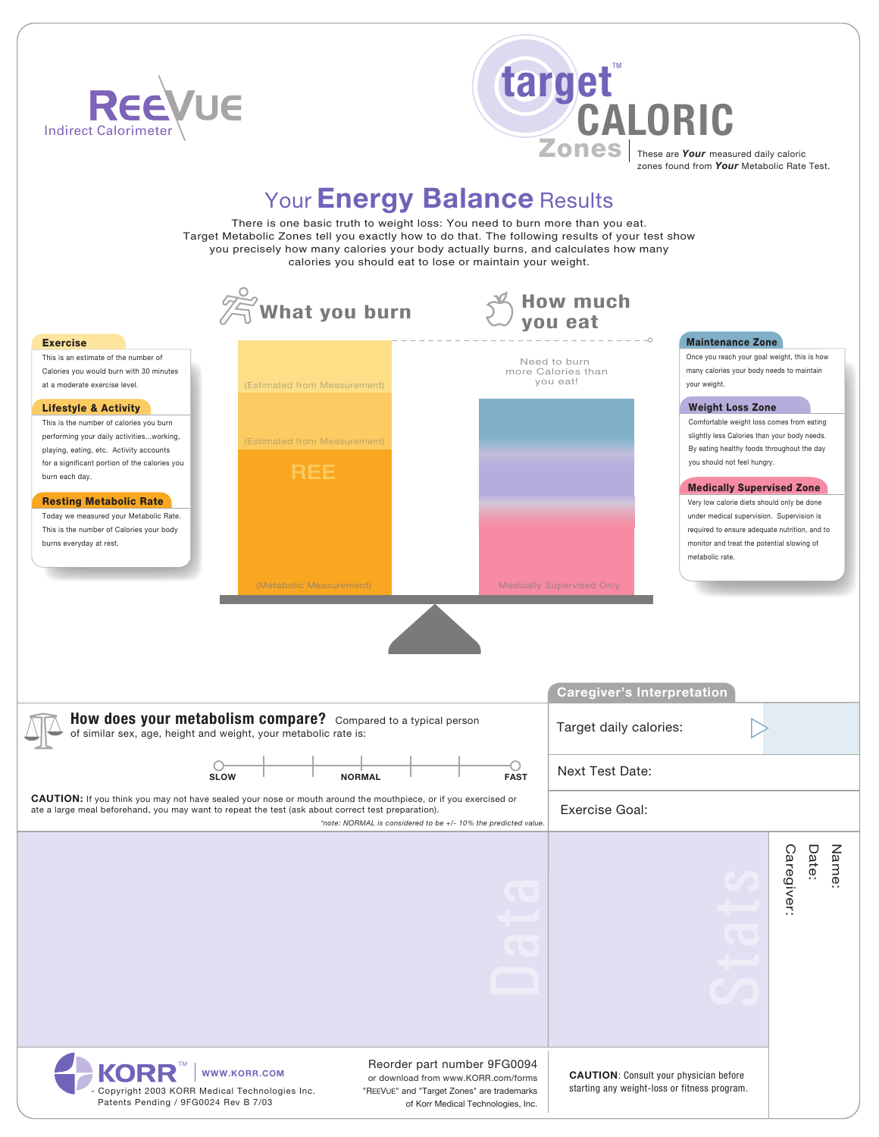



# Your **Energy Balance** Results

There is one basic truth to weight loss: You need to burn more than you eat. Target Metabolic Zones tell you exactly how to do that. The following results of your test show you precisely how many calories your body actually burns, and calculates how many calories you should eat to lose or maintain your weight.